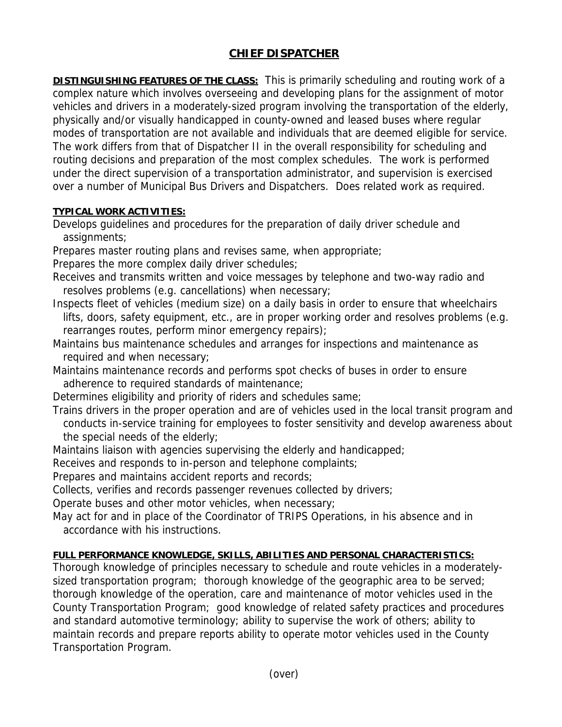## **CHIEF DISPATCHER**

**DISTINGUISHING FEATURES OF THE CLASS:** This is primarily scheduling and routing work of a complex nature which involves overseeing and developing plans for the assignment of motor vehicles and drivers in a moderately-sized program involving the transportation of the elderly, physically and/or visually handicapped in county-owned and leased buses where regular modes of transportation are not available and individuals that are deemed eligible for service. The work differs from that of Dispatcher II in the overall responsibility for scheduling and routing decisions and preparation of the most complex schedules. The work is performed under the direct supervision of a transportation administrator, and supervision is exercised over a number of Municipal Bus Drivers and Dispatchers. Does related work as required.

## **TYPICAL WORK ACTIVITIES:**

Develops guidelines and procedures for the preparation of daily driver schedule and assignments;

Prepares master routing plans and revises same, when appropriate;

Prepares the more complex daily driver schedules;

- Receives and transmits written and voice messages by telephone and two-way radio and resolves problems (e.g. cancellations) when necessary;
- Inspects fleet of vehicles (medium size) on a daily basis in order to ensure that wheelchairs lifts, doors, safety equipment, etc., are in proper working order and resolves problems (e.g. rearranges routes, perform minor emergency repairs);
- Maintains bus maintenance schedules and arranges for inspections and maintenance as required and when necessary;
- Maintains maintenance records and performs spot checks of buses in order to ensure adherence to required standards of maintenance;

Determines eligibility and priority of riders and schedules same;

- Trains drivers in the proper operation and are of vehicles used in the local transit program and conducts in-service training for employees to foster sensitivity and develop awareness about the special needs of the elderly;
- Maintains liaison with agencies supervising the elderly and handicapped;

Receives and responds to in-person and telephone complaints;

Prepares and maintains accident reports and records;

Collects, verifies and records passenger revenues collected by drivers;

Operate buses and other motor vehicles, when necessary;

May act for and in place of the Coordinator of TRIPS Operations, in his absence and in accordance with his instructions.

## **FULL PERFORMANCE KNOWLEDGE, SKILLS, ABILITIES AND PERSONAL CHARACTERISTICS:**

Thorough knowledge of principles necessary to schedule and route vehicles in a moderatelysized transportation program; thorough knowledge of the geographic area to be served; thorough knowledge of the operation, care and maintenance of motor vehicles used in the County Transportation Program; good knowledge of related safety practices and procedures and standard automotive terminology; ability to supervise the work of others; ability to maintain records and prepare reports ability to operate motor vehicles used in the County Transportation Program.